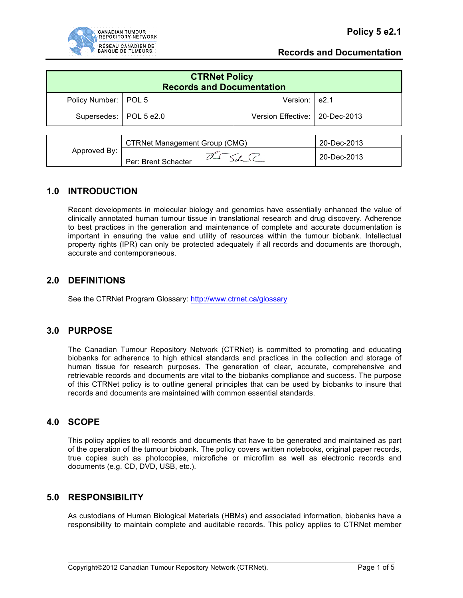

| <b>CTRNet Policy</b><br><b>Records and Documentation</b> |  |                                  |  |  |  |
|----------------------------------------------------------|--|----------------------------------|--|--|--|
| Policy Number:   POL 5                                   |  | Version: e2.1                    |  |  |  |
| Supersedes:   POL 5 e2.0                                 |  | Version Effective:   20-Dec-2013 |  |  |  |

| Approved By: | CTRNet Management Group (CMG) | 20-Dec-2013 |
|--------------|-------------------------------|-------------|
|              | Per: Brent Schacter           | 20-Dec-2013 |

## **1.0 INTRODUCTION**

Recent developments in molecular biology and genomics have essentially enhanced the value of clinically annotated human tumour tissue in translational research and drug discovery. Adherence to best practices in the generation and maintenance of complete and accurate documentation is important in ensuring the value and utility of resources within the tumour biobank. Intellectual property rights (IPR) can only be protected adequately if all records and documents are thorough, accurate and contemporaneous.

### **2.0 DEFINITIONS**

See the CTRNet Program Glossary: http://www.ctrnet.ca/glossary

### **3.0 PURPOSE**

The Canadian Tumour Repository Network (CTRNet) is committed to promoting and educating biobanks for adherence to high ethical standards and practices in the collection and storage of human tissue for research purposes. The generation of clear, accurate, comprehensive and retrievable records and documents are vital to the biobanks compliance and success. The purpose of this CTRNet policy is to outline general principles that can be used by biobanks to insure that records and documents are maintained with common essential standards.

### **4.0 SCOPE**

This policy applies to all records and documents that have to be generated and maintained as part of the operation of the tumour biobank. The policy covers written notebooks, original paper records, true copies such as photocopies, microfiche or microfilm as well as electronic records and documents (e.g. CD, DVD, USB, etc.).

## **5.0 RESPONSIBILITY**

As custodians of Human Biological Materials (HBMs) and associated information, biobanks have a responsibility to maintain complete and auditable records. This policy applies to CTRNet member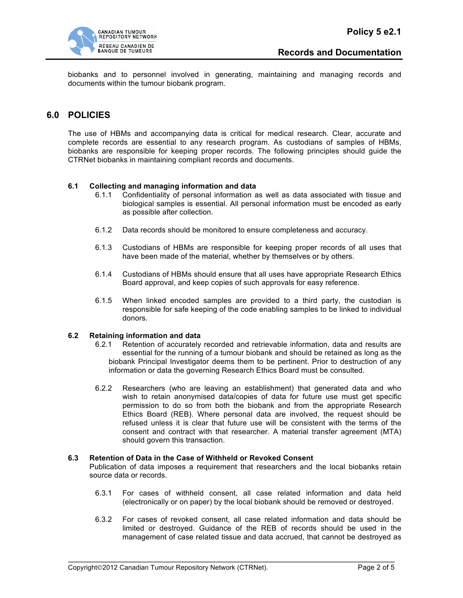

biobanks and to personnel involved in generating, maintaining and managing records and documents within the tumour biobank program.

### **6.0 POLICIES**

The use of HBMs and accompanying data is critical for medical research. Clear, accurate and complete records are essential to any research program. As custodians of samples of HBMs, biobanks are responsible for keeping proper records. The following principles should guide the CTRNet biobanks in maintaining compliant records and documents.

#### **6.1 Collecting and managing information and data**

- 6.1.1 Confidentiality of personal information as well as data associated with tissue and biological samples is essential. All personal information must be encoded as early as possible after collection.
- 6.1.2 Data records should be monitored to ensure completeness and accuracy.
- 6.1.3 Custodians of HBMs are responsible for keeping proper records of all uses that have been made of the material, whether by themselves or by others.
- 6.1.4 Custodians of HBMs should ensure that all uses have appropriate Research Ethics Board approval, and keep copies of such approvals for easy reference.
- 6.1.5 When linked encoded samples are provided to a third party, the custodian is responsible for safe keeping of the code enabling samples to be linked to individual donors.

#### **6.2 Retaining information and data**

- 6.2.1 Retention of accurately recorded and retrievable information, data and results are essential for the running of a tumour biobank and should be retained as long as the biobank Principal Investigator deems them to be pertinent. Prior to destruction of any information or data the governing Research Ethics Board must be consulted.
- 6.2.2 Researchers (who are leaving an establishment) that generated data and who wish to retain anonymised data/copies of data for future use must get specific permission to do so from both the biobank and from the appropriate Research Ethics Board (REB). Where personal data are involved, the request should be refused unless it is clear that future use will be consistent with the terms of the consent and contract with that researcher. A material transfer agreement (MTA) should govern this transaction.

#### **6.3 Retention of Data in the Case of Withheld or Revoked Consent**

Publication of data imposes a requirement that researchers and the local biobanks retain source data or records.

- 6.3.1 For cases of withheld consent, all case related information and data held (electronically or on paper) by the local biobank should be removed or destroyed.
- 6.3.2 For cases of revoked consent, all case related information and data should be limited or destroyed. Guidance of the REB of records should be used in the management of case related tissue and data accrued, that cannot be destroyed as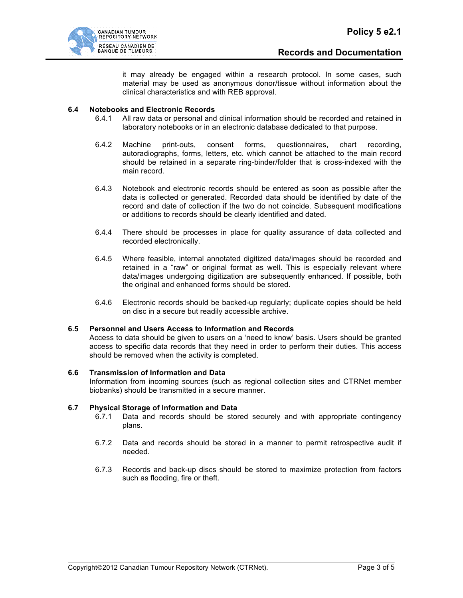

it may already be engaged within a research protocol. In some cases, such material may be used as anonymous donor/tissue without information about the clinical characteristics and with REB approval.

#### **6.4 Notebooks and Electronic Records**

- 6.4.1 All raw data or personal and clinical information should be recorded and retained in laboratory notebooks or in an electronic database dedicated to that purpose.
- 6.4.2 Machine print-outs, consent forms, questionnaires, chart recording, autoradiographs, forms, letters, etc. which cannot be attached to the main record should be retained in a separate ring-binder/folder that is cross-indexed with the main record.
- 6.4.3 Notebook and electronic records should be entered as soon as possible after the data is collected or generated. Recorded data should be identified by date of the record and date of collection if the two do not coincide. Subsequent modifications or additions to records should be clearly identified and dated.
- 6.4.4 There should be processes in place for quality assurance of data collected and recorded electronically.
- 6.4.5 Where feasible, internal annotated digitized data/images should be recorded and retained in a "raw" or original format as well. This is especially relevant where data/images undergoing digitization are subsequently enhanced. If possible, both the original and enhanced forms should be stored.
- 6.4.6 Electronic records should be backed-up regularly; duplicate copies should be held on disc in a secure but readily accessible archive.

#### **6.5 Personnel and Users Access to Information and Records**

Access to data should be given to users on a 'need to know' basis. Users should be granted access to specific data records that they need in order to perform their duties. This access should be removed when the activity is completed.

#### **6.6 Transmission of Information and Data**

Information from incoming sources (such as regional collection sites and CTRNet member biobanks) should be transmitted in a secure manner.

#### **6.7 Physical Storage of Information and Data**

- 6.7.1 Data and records should be stored securely and with appropriate contingency plans.
- 6.7.2 Data and records should be stored in a manner to permit retrospective audit if needed.
- 6.7.3 Records and back-up discs should be stored to maximize protection from factors such as flooding, fire or theft.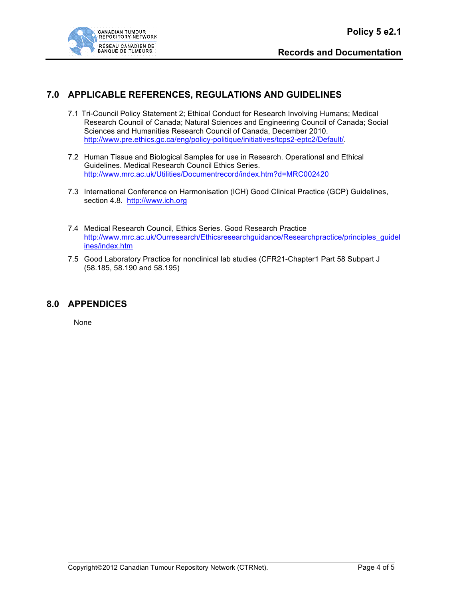

# **7.0 APPLICABLE REFERENCES, REGULATIONS AND GUIDELINES**

- 7.1 Tri-Council Policy Statement 2; Ethical Conduct for Research Involving Humans; Medical Research Council of Canada; Natural Sciences and Engineering Council of Canada; Social Sciences and Humanities Research Council of Canada, December 2010. http://www.pre.ethics.gc.ca/eng/policy-politique/initiatives/tcps2-eptc2/Default/.
- 7.2 Human Tissue and Biological Samples for use in Research. Operational and Ethical Guidelines. Medical Research Council Ethics Series. http://www.mrc.ac.uk/Utilities/Documentrecord/index.htm?d=MRC002420
- 7.3 International Conference on Harmonisation (ICH) Good Clinical Practice (GCP) Guidelines, section 4.8. http://www.ich.org
- 7.4 Medical Research Council, Ethics Series. Good Research Practice http://www.mrc.ac.uk/Ourresearch/Ethicsresearchguidance/Researchpractice/principles\_guidel ines/index.htm
- 7.5 Good Laboratory Practice for nonclinical lab studies (CFR21-Chapter1 Part 58 Subpart J (58.185, 58.190 and 58.195)

## **8.0 APPENDICES**

None